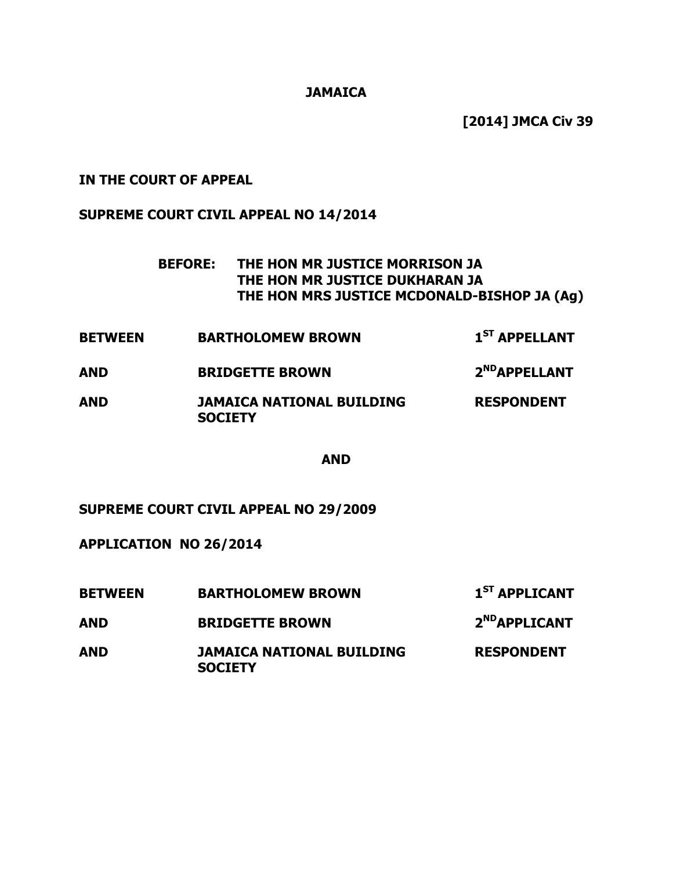### **JAMAICA**

**[2014] JMCA Civ 39** 

## **IN THE COURT OF APPEAL**

## **SUPREME COURT CIVIL APPEAL NO 14/2014**

- **BEFORE: THE HON MR JUSTICE MORRISON JA THE HON MR JUSTICE DUKHARAN JA THE HON MRS JUSTICE MCDONALD-BISHOP JA (Ag)**
- **BETWEEN BARTHOLOMEW BROWN 1ST APPELLANT AND BRIDGETTE BROWN 2NDAPPELLANT**
- **AND JAMAICA NATIONAL BUILDING RESPONDENT SOCIETY**

#### **AND**

**SUPREME COURT CIVIL APPEAL NO 29/2009** 

**APPLICATION NO 26/2014** 

| <b>BETWEEN</b> | <b>BARTHOLOMEW BROWN</b>                           | $1ST$ APPLICANT           |
|----------------|----------------------------------------------------|---------------------------|
| AND            | <b>BRIDGETTE BROWN</b>                             | 2 <sup>ND</sup> APPLICANT |
| AND            | <b>JAMAICA NATIONAL BUILDING</b><br><b>SOCIETY</b> | <b>RESPONDENT</b>         |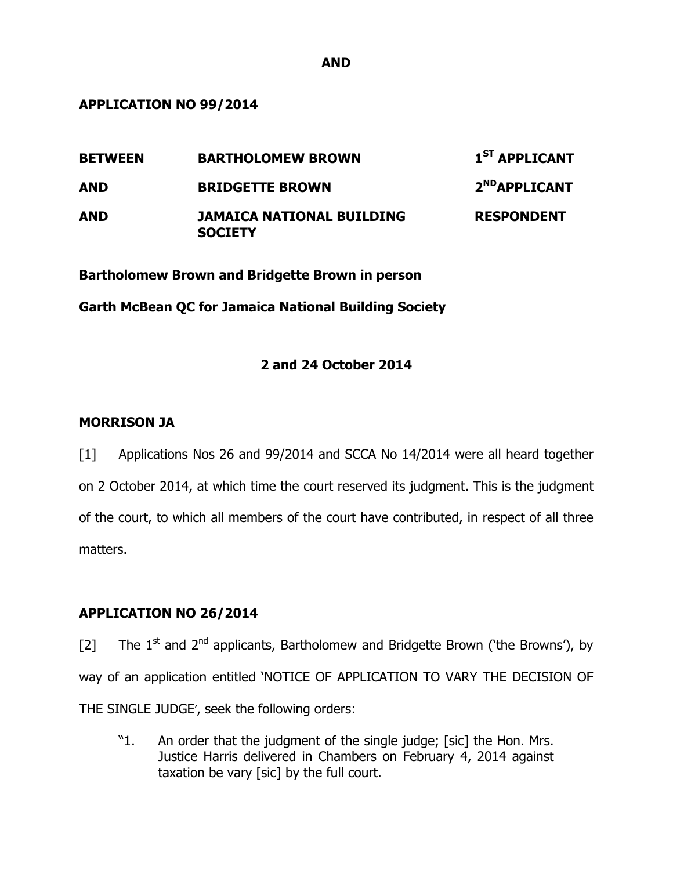**APPLICATION NO 99/2014** 

| <b>BETWEEN</b> | <b>BARTHOLOMEW BROWN</b>                           | $1ST$ APPLICANT           |
|----------------|----------------------------------------------------|---------------------------|
| <b>AND</b>     | <b>BRIDGETTE BROWN</b>                             | 2 <sup>ND</sup> APPLICANT |
| <b>AND</b>     | <b>JAMAICA NATIONAL BUILDING</b><br><b>SOCIETY</b> | <b>RESPONDENT</b>         |

**Bartholomew Brown and Bridgette Brown in person** 

**Garth McBean QC for Jamaica National Building Society** 

# **2 and 24 October 2014**

## **MORRISON JA**

[1] Applications Nos 26 and 99/2014 and SCCA No 14/2014 were all heard together on 2 October 2014, at which time the court reserved its judgment. This is the judgment of the court, to which all members of the court have contributed, in respect of all three matters.

# **APPLICATION NO 26/2014**

[2] The  $1^{st}$  and  $2^{nd}$  applicants, Bartholomew and Bridgette Brown ('the Browns'), by way of an application entitled 'NOTICE OF APPLICATION TO VARY THE DECISION OF THE SINGLE JUDGE', seek the following orders:

"1. An order that the judgment of the single judge; [sic] the Hon. Mrs. Justice Harris delivered in Chambers on February 4, 2014 against taxation be vary [sic] by the full court.

**AND**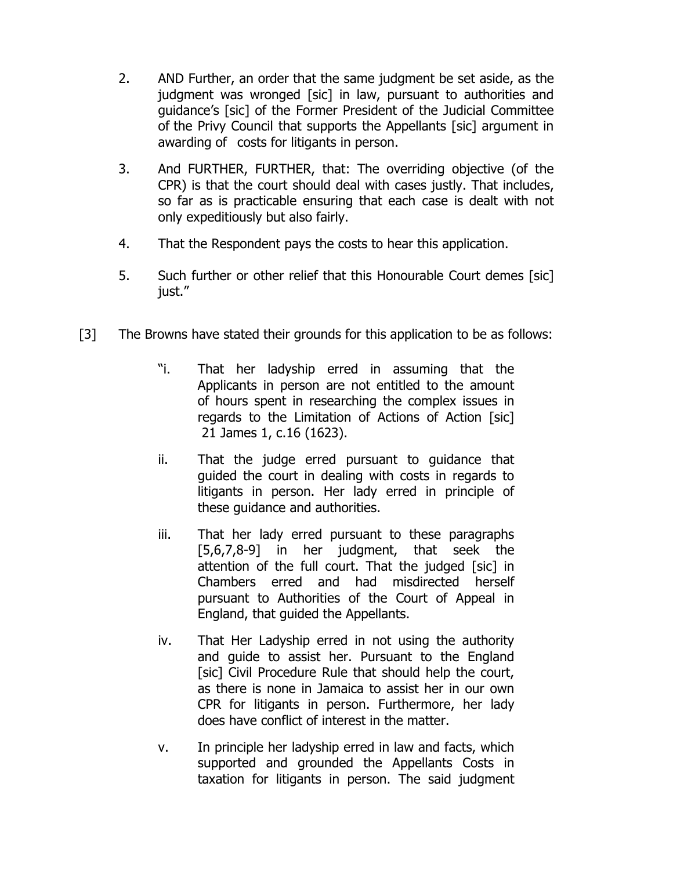- 2. AND Further, an order that the same judgment be set aside, as the judgment was wronged [sic] in law, pursuant to authorities and guidance's [sic] of the Former President of the Judicial Committee of the Privy Council that supports the Appellants [sic] argument in awarding of costs for litigants in person.
- 3. And FURTHER, FURTHER, that: The overriding objective (of the CPR) is that the court should deal with cases justly. That includes, so far as is practicable ensuring that each case is dealt with not only expeditiously but also fairly.
- 4. That the Respondent pays the costs to hear this application.
- 5. Such further or other relief that this Honourable Court demes [sic] just."
- [3] The Browns have stated their grounds for this application to be as follows:
	- "i. That her ladyship erred in assuming that the Applicants in person are not entitled to the amount of hours spent in researching the complex issues in regards to the Limitation of Actions of Action [sic] 21 James 1, c.16 (1623).
	- ii. That the judge erred pursuant to guidance that guided the court in dealing with costs in regards to litigants in person. Her lady erred in principle of these guidance and authorities.
	- iii. That her lady erred pursuant to these paragraphs [5,6,7,8-9] in her judgment, that seek the attention of the full court. That the judged [sic] in Chambers erred and had misdirected herself pursuant to Authorities of the Court of Appeal in England, that guided the Appellants.
	- iv. That Her Ladyship erred in not using the authority and guide to assist her. Pursuant to the England [sic] Civil Procedure Rule that should help the court, as there is none in Jamaica to assist her in our own CPR for litigants in person. Furthermore, her lady does have conflict of interest in the matter.
	- v. In principle her ladyship erred in law and facts, which supported and grounded the Appellants Costs in taxation for litigants in person. The said judgment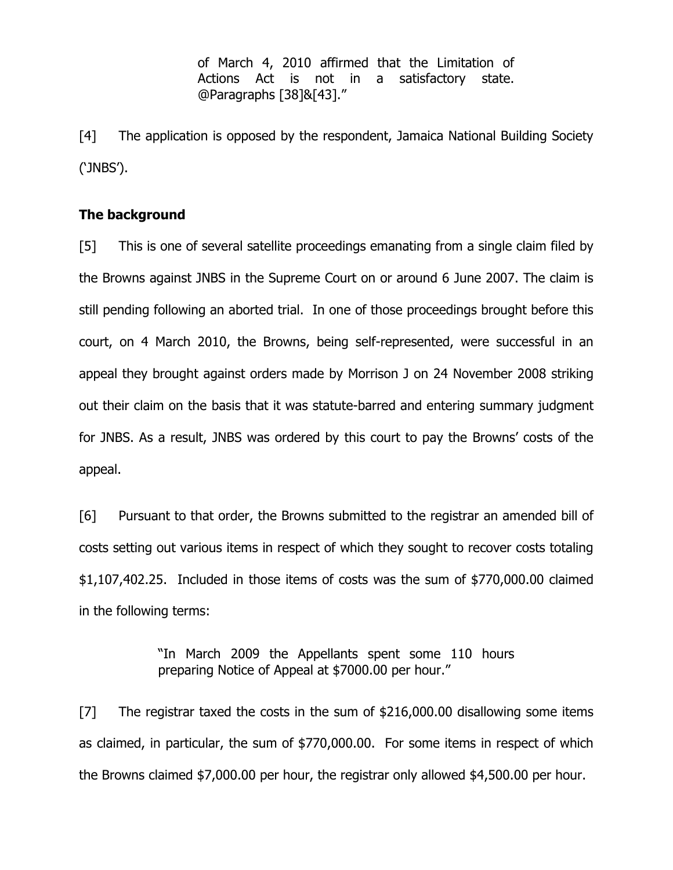of March 4, 2010 affirmed that the Limitation of Actions Act is not in a satisfactory state. @Paragraphs [38]&[43]."

[4] The application is opposed by the respondent, Jamaica National Building Society ('JNBS').

## **The background**

[5] This is one of several satellite proceedings emanating from a single claim filed by the Browns against JNBS in the Supreme Court on or around 6 June 2007. The claim is still pending following an aborted trial. In one of those proceedings brought before this court, on 4 March 2010, the Browns, being self-represented, were successful in an appeal they brought against orders made by Morrison J on 24 November 2008 striking out their claim on the basis that it was statute-barred and entering summary judgment for JNBS. As a result, JNBS was ordered by this court to pay the Browns' costs of the appeal.

[6] Pursuant to that order, the Browns submitted to the registrar an amended bill of costs setting out various items in respect of which they sought to recover costs totaling \$1,107,402.25. Included in those items of costs was the sum of \$770,000.00 claimed in the following terms:

> "In March 2009 the Appellants spent some 110 hours preparing Notice of Appeal at \$7000.00 per hour."

[7] The registrar taxed the costs in the sum of \$216,000.00 disallowing some items as claimed, in particular, the sum of \$770,000.00. For some items in respect of which the Browns claimed \$7,000.00 per hour, the registrar only allowed \$4,500.00 per hour.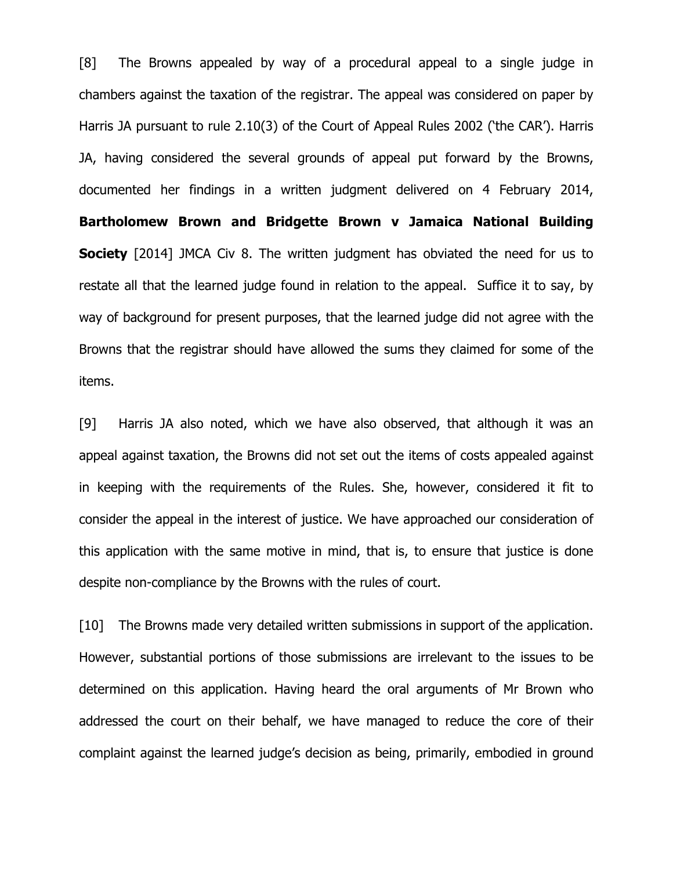[8] The Browns appealed by way of a procedural appeal to a single judge in chambers against the taxation of the registrar. The appeal was considered on paper by Harris JA pursuant to rule 2.10(3) of the Court of Appeal Rules 2002 ('the CAR'). Harris JA, having considered the several grounds of appeal put forward by the Browns, documented her findings in a written judgment delivered on 4 February 2014, **Bartholomew Brown and Bridgette Brown v Jamaica National Building Society** [2014] JMCA Civ 8. The written judgment has obviated the need for us to restate all that the learned judge found in relation to the appeal. Suffice it to say, by way of background for present purposes, that the learned judge did not agree with the Browns that the registrar should have allowed the sums they claimed for some of the items.

[9] Harris JA also noted, which we have also observed, that although it was an appeal against taxation, the Browns did not set out the items of costs appealed against in keeping with the requirements of the Rules. She, however, considered it fit to consider the appeal in the interest of justice. We have approached our consideration of this application with the same motive in mind, that is, to ensure that justice is done despite non-compliance by the Browns with the rules of court.

[10] The Browns made very detailed written submissions in support of the application. However, substantial portions of those submissions are irrelevant to the issues to be determined on this application. Having heard the oral arguments of Mr Brown who addressed the court on their behalf, we have managed to reduce the core of their complaint against the learned judge's decision as being, primarily, embodied in ground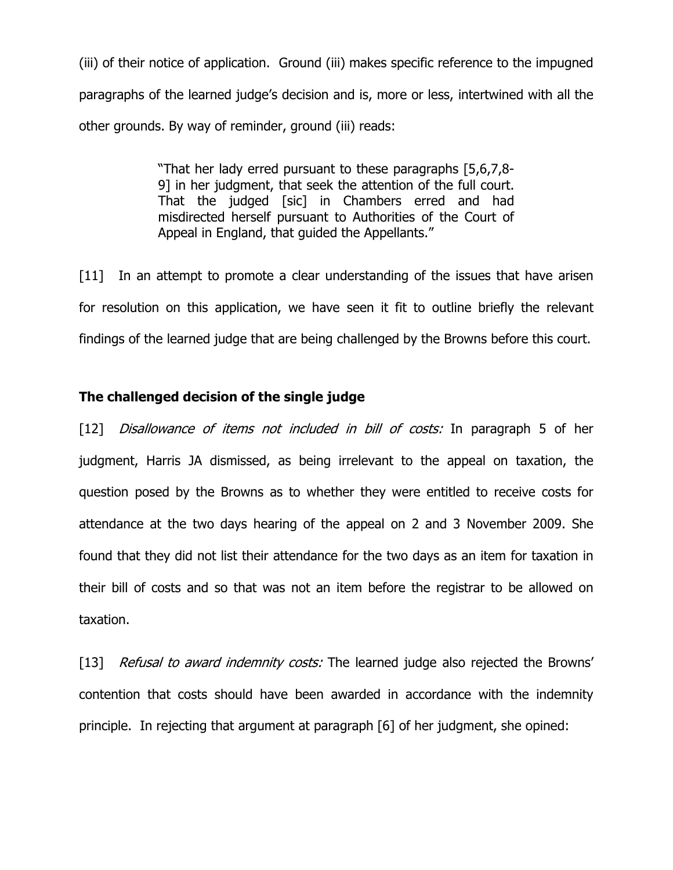(iii) of their notice of application. Ground (iii) makes specific reference to the impugned paragraphs of the learned judge's decision and is, more or less, intertwined with all the other grounds. By way of reminder, ground (iii) reads:

> "That her lady erred pursuant to these paragraphs [5,6,7,8- 9] in her judgment, that seek the attention of the full court. That the judged [sic] in Chambers erred and had misdirected herself pursuant to Authorities of the Court of Appeal in England, that guided the Appellants."

[11] In an attempt to promote a clear understanding of the issues that have arisen for resolution on this application, we have seen it fit to outline briefly the relevant findings of the learned judge that are being challenged by the Browns before this court.

# **The challenged decision of the single judge**

[12] *Disallowance of items not included in bill of costs:* In paragraph 5 of her judgment, Harris JA dismissed, as being irrelevant to the appeal on taxation, the question posed by the Browns as to whether they were entitled to receive costs for attendance at the two days hearing of the appeal on 2 and 3 November 2009. She found that they did not list their attendance for the two days as an item for taxation in their bill of costs and so that was not an item before the registrar to be allowed on taxation.

[13] Refusal to award indemnity costs: The learned judge also rejected the Browns' contention that costs should have been awarded in accordance with the indemnity principle. In rejecting that argument at paragraph [6] of her judgment, she opined: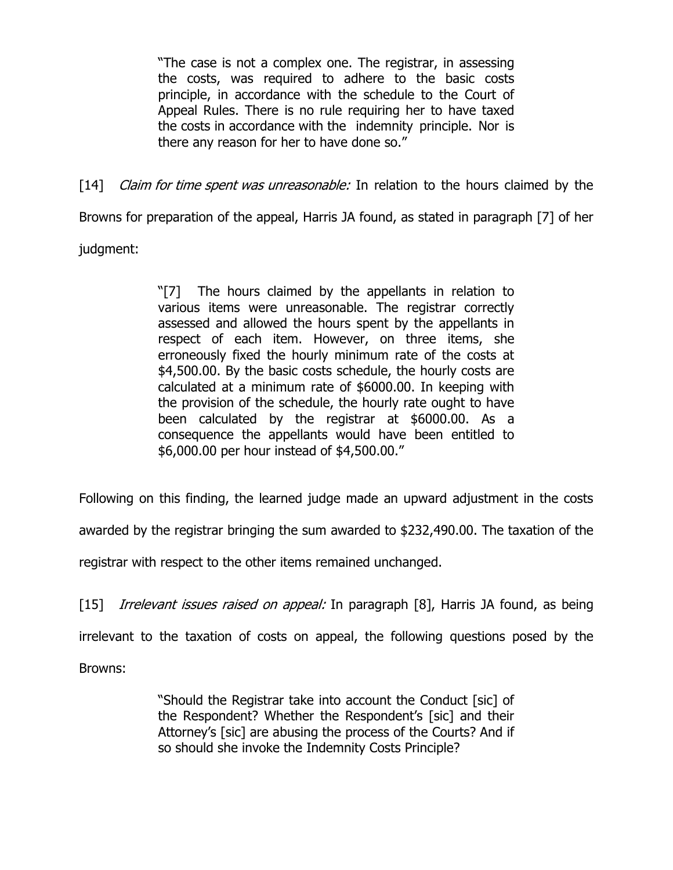"The case is not a complex one. The registrar, in assessing the costs, was required to adhere to the basic costs principle, in accordance with the schedule to the Court of Appeal Rules. There is no rule requiring her to have taxed the costs in accordance with the indemnity principle. Nor is there any reason for her to have done so."

[14] *Claim for time spent was unreasonable:* In relation to the hours claimed by the

Browns for preparation of the appeal, Harris JA found, as stated in paragraph [7] of her

judgment:

"[7] The hours claimed by the appellants in relation to various items were unreasonable. The registrar correctly assessed and allowed the hours spent by the appellants in respect of each item. However, on three items, she erroneously fixed the hourly minimum rate of the costs at \$4,500.00. By the basic costs schedule, the hourly costs are calculated at a minimum rate of \$6000.00. In keeping with the provision of the schedule, the hourly rate ought to have been calculated by the registrar at \$6000.00. As a consequence the appellants would have been entitled to \$6,000.00 per hour instead of \$4,500.00."

Following on this finding, the learned judge made an upward adjustment in the costs

awarded by the registrar bringing the sum awarded to \$232,490.00. The taxation of the

registrar with respect to the other items remained unchanged.

[15] *Irrelevant issues raised on appeal:* In paragraph [8], Harris JA found, as being

irrelevant to the taxation of costs on appeal, the following questions posed by the

Browns:

"Should the Registrar take into account the Conduct [sic] of the Respondent? Whether the Respondent's [sic] and their Attorney's [sic] are abusing the process of the Courts? And if so should she invoke the Indemnity Costs Principle?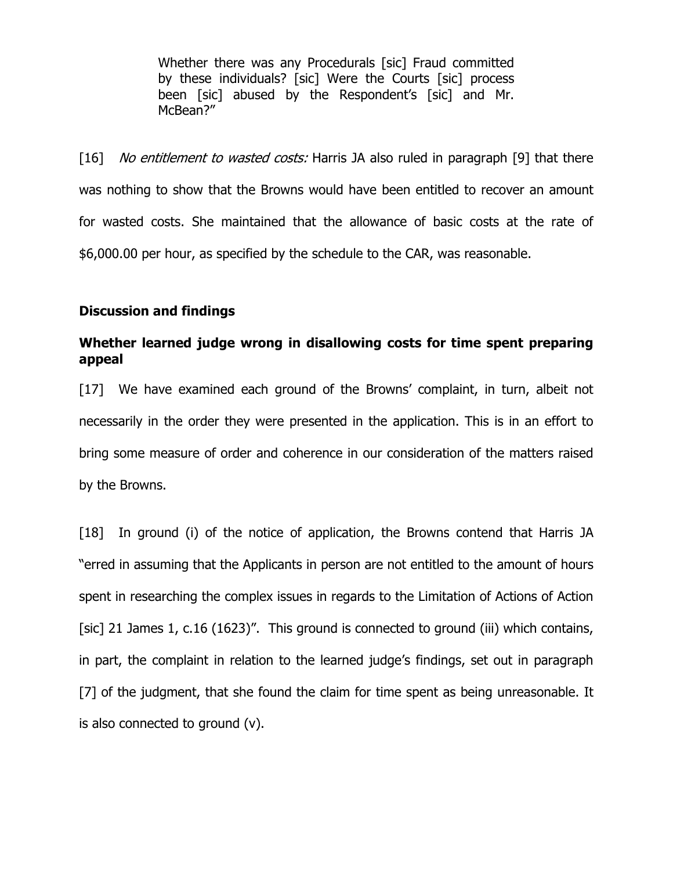Whether there was any Procedurals [sic] Fraud committed by these individuals? [sic] Were the Courts [sic] process been [sic] abused by the Respondent's [sic] and Mr. McBean?"

[16] No entitlement to wasted costs: Harris JA also ruled in paragraph [9] that there was nothing to show that the Browns would have been entitled to recover an amount for wasted costs. She maintained that the allowance of basic costs at the rate of \$6,000.00 per hour, as specified by the schedule to the CAR, was reasonable.

## **Discussion and findings**

# **Whether learned judge wrong in disallowing costs for time spent preparing appeal**

[17] We have examined each ground of the Browns' complaint, in turn, albeit not necessarily in the order they were presented in the application. This is in an effort to bring some measure of order and coherence in our consideration of the matters raised by the Browns.

[18] In ground (i) of the notice of application, the Browns contend that Harris JA "erred in assuming that the Applicants in person are not entitled to the amount of hours spent in researching the complex issues in regards to the Limitation of Actions of Action [sic] 21 James 1, c.16 (1623)". This ground is connected to ground (iii) which contains, in part, the complaint in relation to the learned judge's findings, set out in paragraph [7] of the judgment, that she found the claim for time spent as being unreasonable. It is also connected to ground (v).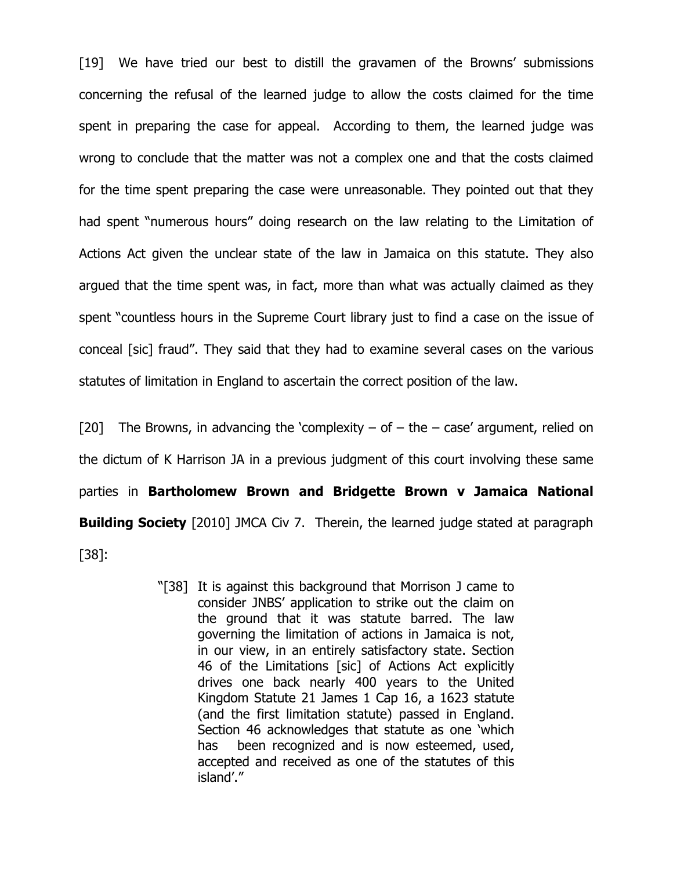[19] We have tried our best to distill the gravamen of the Browns' submissions concerning the refusal of the learned judge to allow the costs claimed for the time spent in preparing the case for appeal. According to them, the learned judge was wrong to conclude that the matter was not a complex one and that the costs claimed for the time spent preparing the case were unreasonable. They pointed out that they had spent "numerous hours" doing research on the law relating to the Limitation of Actions Act given the unclear state of the law in Jamaica on this statute. They also argued that the time spent was, in fact, more than what was actually claimed as they spent "countless hours in the Supreme Court library just to find a case on the issue of conceal [sic] fraud". They said that they had to examine several cases on the various statutes of limitation in England to ascertain the correct position of the law.

[20] The Browns, in advancing the 'complexity – of  $-$  the  $-$  case' argument, relied on the dictum of K Harrison JA in a previous judgment of this court involving these same parties in **Bartholomew Brown and Bridgette Brown v Jamaica National Building Society** [2010] JMCA Civ 7. Therein, the learned judge stated at paragraph [38]:

> "[38] It is against this background that Morrison J came to consider JNBS' application to strike out the claim on the ground that it was statute barred. The law governing the limitation of actions in Jamaica is not, in our view, in an entirely satisfactory state. Section 46 of the Limitations [sic] of Actions Act explicitly drives one back nearly 400 years to the United Kingdom Statute 21 James 1 Cap 16, a 1623 statute (and the first limitation statute) passed in England. Section 46 acknowledges that statute as one 'which has been recognized and is now esteemed, used, accepted and received as one of the statutes of this island'."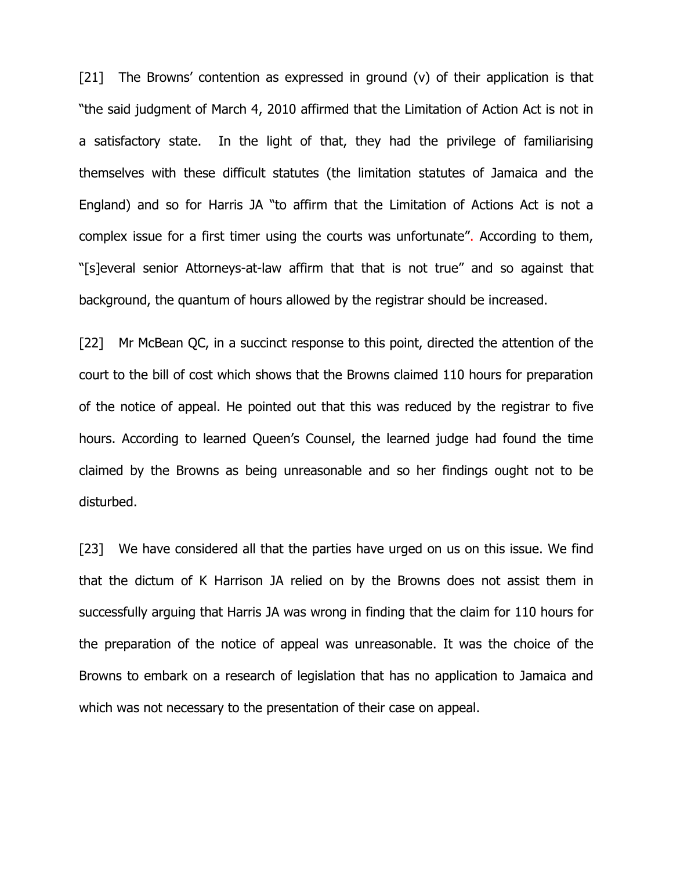[21] The Browns' contention as expressed in ground  $(v)$  of their application is that "the said judgment of March 4, 2010 affirmed that the Limitation of Action Act is not in a satisfactory state. In the light of that, they had the privilege of familiarising themselves with these difficult statutes (the limitation statutes of Jamaica and the England) and so for Harris JA "to affirm that the Limitation of Actions Act is not a complex issue for a first timer using the courts was unfortunate". According to them, "[s]everal senior Attorneys-at-law affirm that that is not true" and so against that background, the quantum of hours allowed by the registrar should be increased.

[22] Mr McBean QC, in a succinct response to this point, directed the attention of the court to the bill of cost which shows that the Browns claimed 110 hours for preparation of the notice of appeal. He pointed out that this was reduced by the registrar to five hours. According to learned Queen's Counsel, the learned judge had found the time claimed by the Browns as being unreasonable and so her findings ought not to be disturbed.

[23] We have considered all that the parties have urged on us on this issue. We find that the dictum of K Harrison JA relied on by the Browns does not assist them in successfully arguing that Harris JA was wrong in finding that the claim for 110 hours for the preparation of the notice of appeal was unreasonable. It was the choice of the Browns to embark on a research of legislation that has no application to Jamaica and which was not necessary to the presentation of their case on appeal.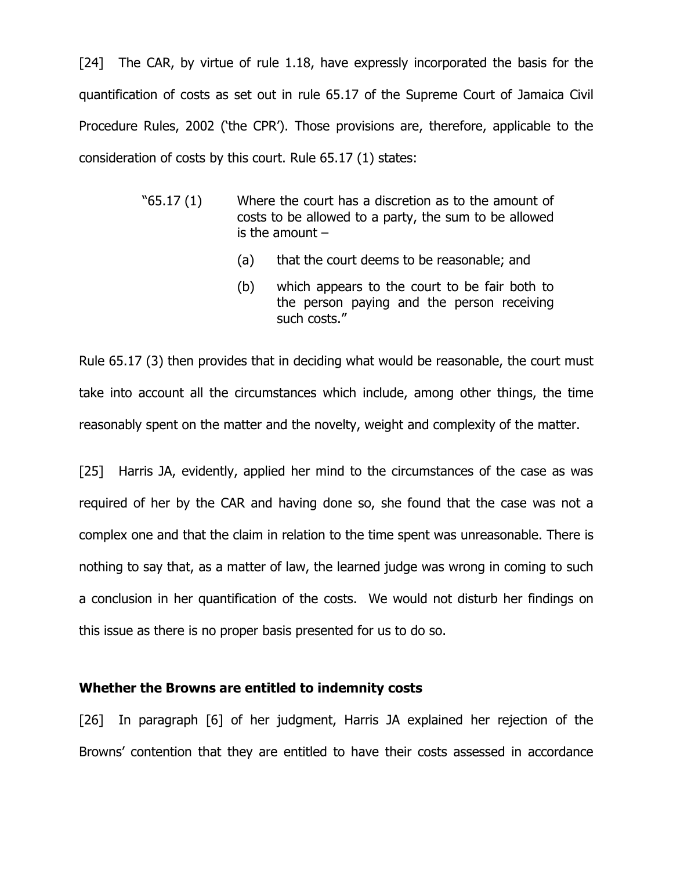[24] The CAR, by virtue of rule 1.18, have expressly incorporated the basis for the quantification of costs as set out in rule 65.17 of the Supreme Court of Jamaica Civil Procedure Rules, 2002 ('the CPR'). Those provisions are, therefore, applicable to the consideration of costs by this court. Rule 65.17 (1) states:

- "65.17 (1) Where the court has a discretion as to the amount of costs to be allowed to a party, the sum to be allowed is the amount –
	- (a) that the court deems to be reasonable; and
	- (b) which appears to the court to be fair both to the person paying and the person receiving such costs."

Rule 65.17 (3) then provides that in deciding what would be reasonable, the court must take into account all the circumstances which include, among other things, the time reasonably spent on the matter and the novelty, weight and complexity of the matter.

[25] Harris JA, evidently, applied her mind to the circumstances of the case as was required of her by the CAR and having done so, she found that the case was not a complex one and that the claim in relation to the time spent was unreasonable. There is nothing to say that, as a matter of law, the learned judge was wrong in coming to such a conclusion in her quantification of the costs. We would not disturb her findings on this issue as there is no proper basis presented for us to do so.

#### **Whether the Browns are entitled to indemnity costs**

[26] In paragraph [6] of her judgment, Harris JA explained her rejection of the Browns' contention that they are entitled to have their costs assessed in accordance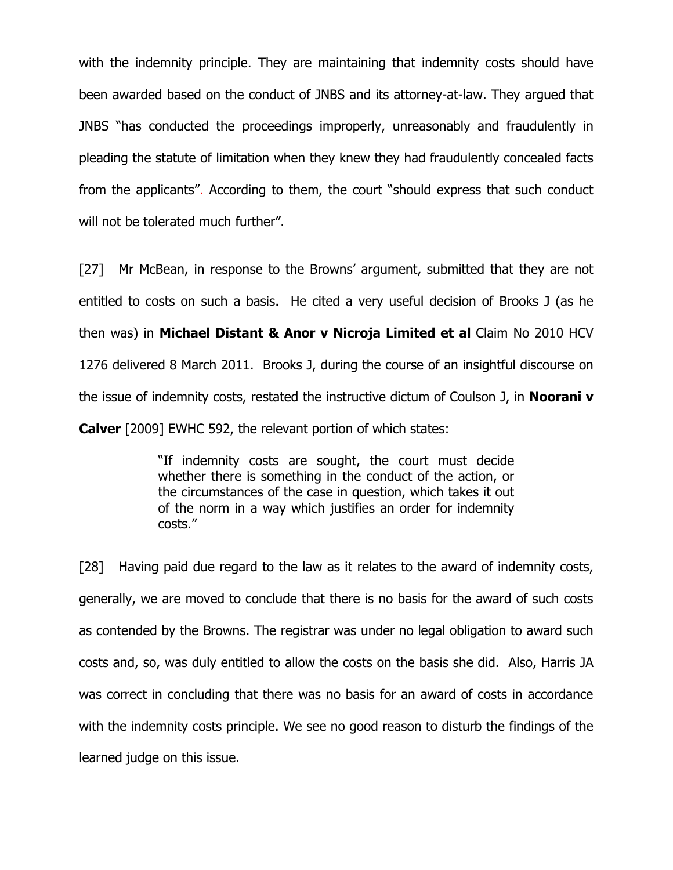with the indemnity principle. They are maintaining that indemnity costs should have been awarded based on the conduct of JNBS and its attorney-at-law. They argued that JNBS "has conducted the proceedings improperly, unreasonably and fraudulently in pleading the statute of limitation when they knew they had fraudulently concealed facts from the applicants". According to them, the court "should express that such conduct will not be tolerated much further".

[27] Mr McBean, in response to the Browns' argument, submitted that they are not entitled to costs on such a basis. He cited a very useful decision of Brooks J (as he then was) in **Michael Distant & Anor v Nicroja Limited et al** Claim No 2010 HCV 1276 delivered 8 March 2011. Brooks J, during the course of an insightful discourse on the issue of indemnity costs, restated the instructive dictum of Coulson J, in **Noorani v Calver** [2009] EWHC 592, the relevant portion of which states:

> "If indemnity costs are sought, the court must decide whether there is something in the conduct of the action, or the circumstances of the case in question, which takes it out of the norm in a way which justifies an order for indemnity costs."

[28] Having paid due regard to the law as it relates to the award of indemnity costs, generally, we are moved to conclude that there is no basis for the award of such costs as contended by the Browns. The registrar was under no legal obligation to award such costs and, so, was duly entitled to allow the costs on the basis she did. Also, Harris JA was correct in concluding that there was no basis for an award of costs in accordance with the indemnity costs principle. We see no good reason to disturb the findings of the learned judge on this issue.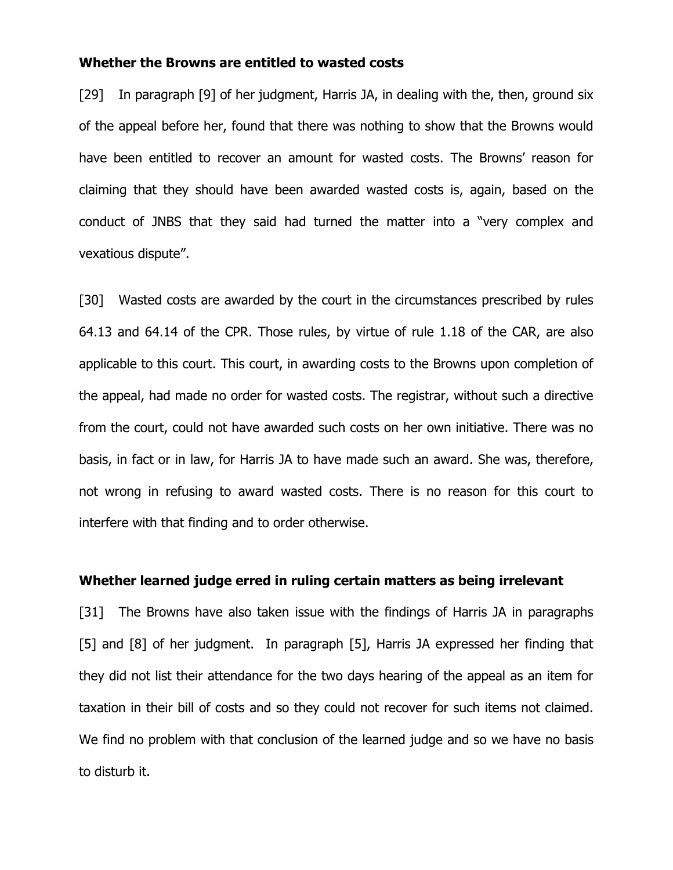### **Whether the Browns are entitled to wasted costs**

[29] In paragraph [9] of her judgment, Harris JA, in dealing with the, then, ground six of the appeal before her, found that there was nothing to show that the Browns would have been entitled to recover an amount for wasted costs. The Browns' reason for claiming that they should have been awarded wasted costs is, again, based on the conduct of JNBS that they said had turned the matter into a "very complex and vexatious dispute".

[30] Wasted costs are awarded by the court in the circumstances prescribed by rules 64.13 and 64.14 of the CPR. Those rules, by virtue of rule 1.18 of the CAR, are also applicable to this court. This court, in awarding costs to the Browns upon completion of the appeal, had made no order for wasted costs. The registrar, without such a directive from the court, could not have awarded such costs on her own initiative. There was no basis, in fact or in law, for Harris JA to have made such an award. She was, therefore, not wrong in refusing to award wasted costs. There is no reason for this court to interfere with that finding and to order otherwise.

### **Whether learned judge erred in ruling certain matters as being irrelevant**

[31] The Browns have also taken issue with the findings of Harris JA in paragraphs [5] and [8] of her judgment. In paragraph [5], Harris JA expressed her finding that they did not list their attendance for the two days hearing of the appeal as an item for taxation in their bill of costs and so they could not recover for such items not claimed. We find no problem with that conclusion of the learned judge and so we have no basis to disturb it.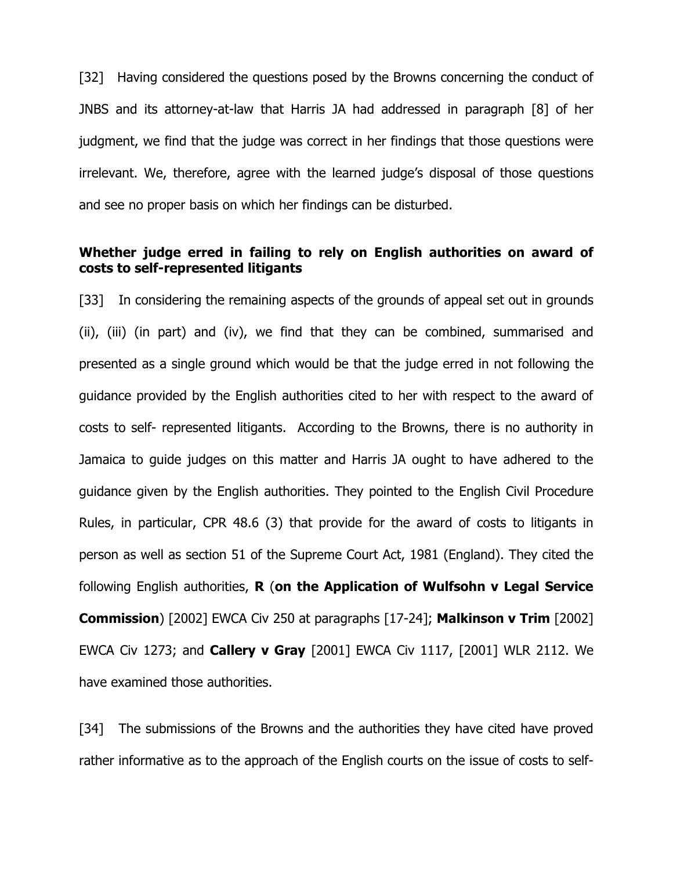[32] Having considered the questions posed by the Browns concerning the conduct of JNBS and its attorney-at-law that Harris JA had addressed in paragraph [8] of her judgment, we find that the judge was correct in her findings that those questions were irrelevant. We, therefore, agree with the learned judge's disposal of those questions and see no proper basis on which her findings can be disturbed.

# **Whether judge erred in failing to rely on English authorities on award of costs to self-represented litigants**

[33] In considering the remaining aspects of the grounds of appeal set out in grounds (ii), (iii) (in part) and (iv), we find that they can be combined, summarised and presented as a single ground which would be that the judge erred in not following the guidance provided by the English authorities cited to her with respect to the award of costs to self- represented litigants. According to the Browns, there is no authority in Jamaica to guide judges on this matter and Harris JA ought to have adhered to the guidance given by the English authorities. They pointed to the English Civil Procedure Rules, in particular, CPR 48.6 (3) that provide for the award of costs to litigants in person as well as section 51 of the Supreme Court Act, 1981 (England). They cited the following English authorities, **R** (**on the Application of Wulfsohn v Legal Service Commission**) [2002] EWCA Civ 250 at paragraphs [17-24]; **Malkinson v Trim** [2002] EWCA Civ 1273; and **Callery v Gray** [2001] EWCA Civ 1117, [2001] WLR 2112. We have examined those authorities.

[34] The submissions of the Browns and the authorities they have cited have proved rather informative as to the approach of the English courts on the issue of costs to self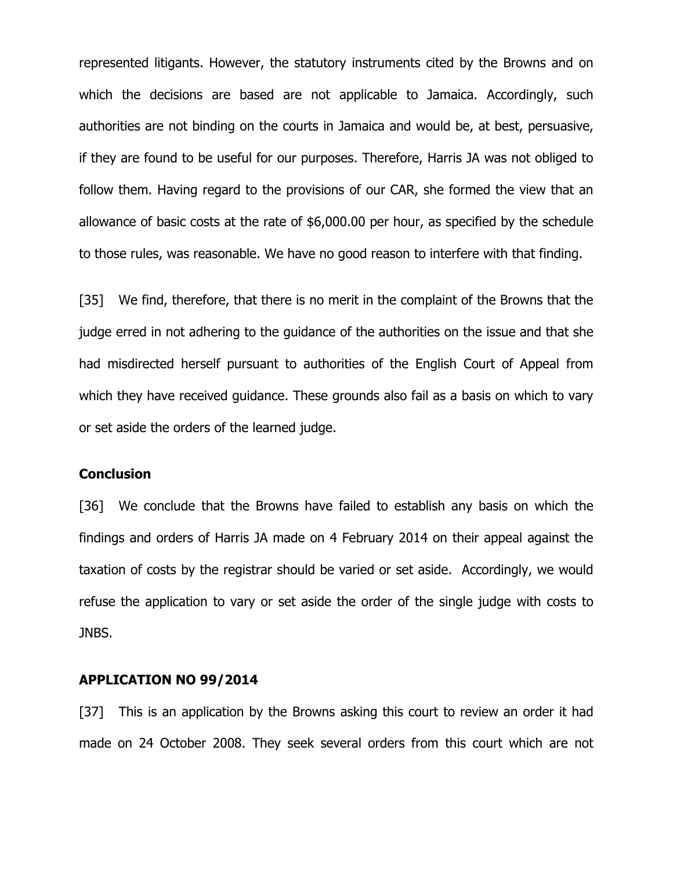represented litigants. However, the statutory instruments cited by the Browns and on which the decisions are based are not applicable to Jamaica. Accordingly, such authorities are not binding on the courts in Jamaica and would be, at best, persuasive, if they are found to be useful for our purposes. Therefore, Harris JA was not obliged to follow them. Having regard to the provisions of our CAR, she formed the view that an allowance of basic costs at the rate of \$6,000.00 per hour, as specified by the schedule to those rules, was reasonable. We have no good reason to interfere with that finding.

[35] We find, therefore, that there is no merit in the complaint of the Browns that the judge erred in not adhering to the guidance of the authorities on the issue and that she had misdirected herself pursuant to authorities of the English Court of Appeal from which they have received guidance. These grounds also fail as a basis on which to vary or set aside the orders of the learned judge.

#### **Conclusion**

[36] We conclude that the Browns have failed to establish any basis on which the findings and orders of Harris JA made on 4 February 2014 on their appeal against the taxation of costs by the registrar should be varied or set aside. Accordingly, we would refuse the application to vary or set aside the order of the single judge with costs to JNBS.

#### **APPLICATION NO 99/2014**

[37] This is an application by the Browns asking this court to review an order it had made on 24 October 2008. They seek several orders from this court which are not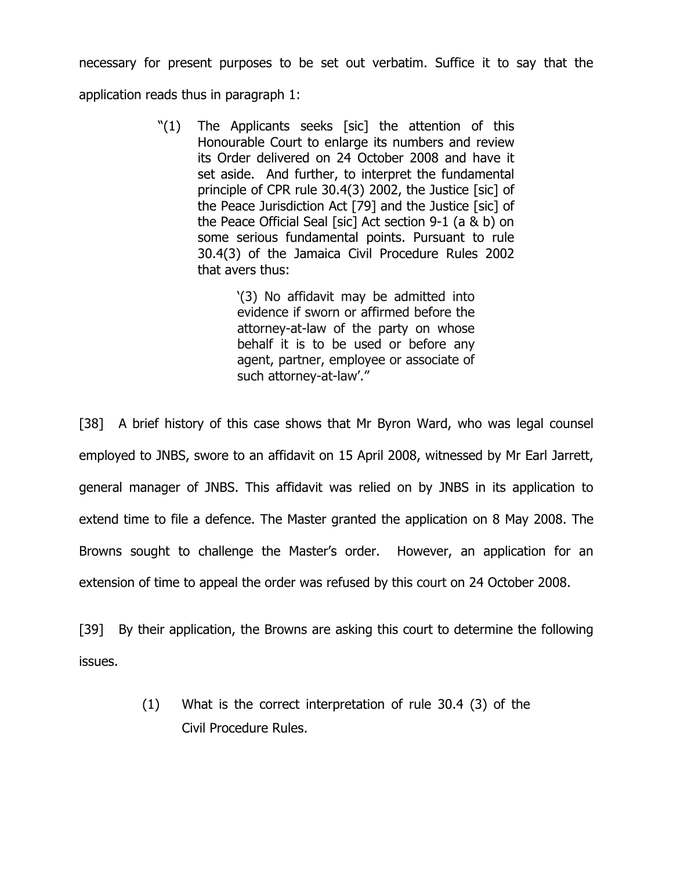necessary for present purposes to be set out verbatim. Suffice it to say that the

application reads thus in paragraph 1:

"(1) The Applicants seeks [sic] the attention of this Honourable Court to enlarge its numbers and review its Order delivered on 24 October 2008 and have it set aside. And further, to interpret the fundamental principle of CPR rule 30.4(3) 2002, the Justice [sic] of the Peace Jurisdiction Act [79] and the Justice [sic] of the Peace Official Seal [sic] Act section 9-1 (a & b) on some serious fundamental points. Pursuant to rule 30.4(3) of the Jamaica Civil Procedure Rules 2002 that avers thus:

> '(3) No affidavit may be admitted into evidence if sworn or affirmed before the attorney-at-law of the party on whose behalf it is to be used or before any agent, partner, employee or associate of such attorney-at-law'."

[38] A brief history of this case shows that Mr Byron Ward, who was legal counsel employed to JNBS, swore to an affidavit on 15 April 2008, witnessed by Mr Earl Jarrett, general manager of JNBS. This affidavit was relied on by JNBS in its application to extend time to file a defence. The Master granted the application on 8 May 2008. The Browns sought to challenge the Master's order. However, an application for an extension of time to appeal the order was refused by this court on 24 October 2008.

[39] By their application, the Browns are asking this court to determine the following issues.

> (1) What is the correct interpretation of rule 30.4 (3) of the Civil Procedure Rules.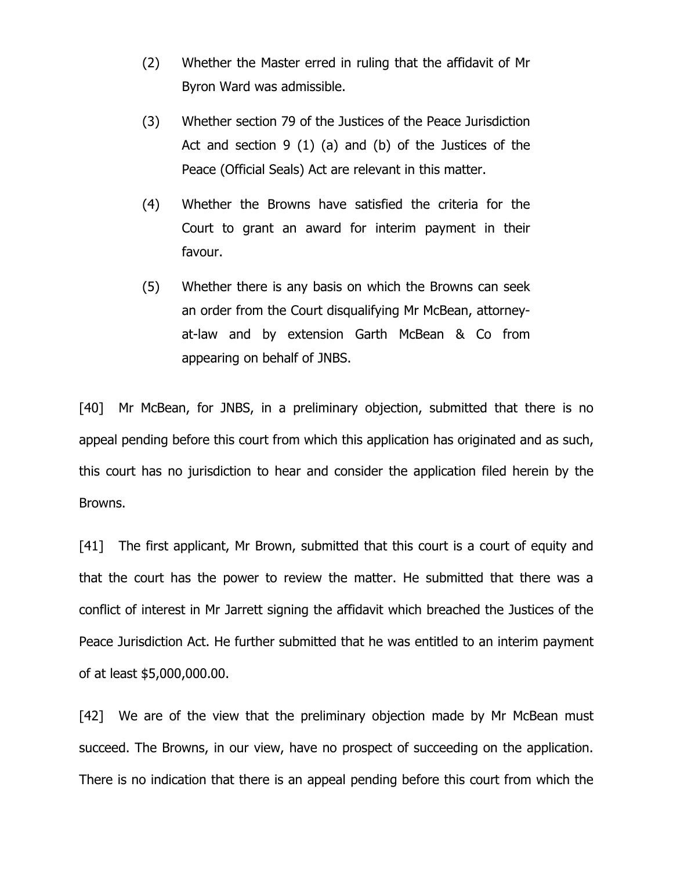- (2) Whether the Master erred in ruling that the affidavit of Mr Byron Ward was admissible.
- (3) Whether section 79 of the Justices of the Peace Jurisdiction Act and section 9 (1) (a) and (b) of the Justices of the Peace (Official Seals) Act are relevant in this matter.
- (4) Whether the Browns have satisfied the criteria for the Court to grant an award for interim payment in their favour.
- (5) Whether there is any basis on which the Browns can seek an order from the Court disqualifying Mr McBean, attorneyat-law and by extension Garth McBean & Co from appearing on behalf of JNBS.

[40] Mr McBean, for JNBS, in a preliminary objection, submitted that there is no appeal pending before this court from which this application has originated and as such, this court has no jurisdiction to hear and consider the application filed herein by the Browns.

[41] The first applicant, Mr Brown, submitted that this court is a court of equity and that the court has the power to review the matter. He submitted that there was a conflict of interest in Mr Jarrett signing the affidavit which breached the Justices of the Peace Jurisdiction Act. He further submitted that he was entitled to an interim payment of at least \$5,000,000.00.

[42] We are of the view that the preliminary objection made by Mr McBean must succeed. The Browns, in our view, have no prospect of succeeding on the application. There is no indication that there is an appeal pending before this court from which the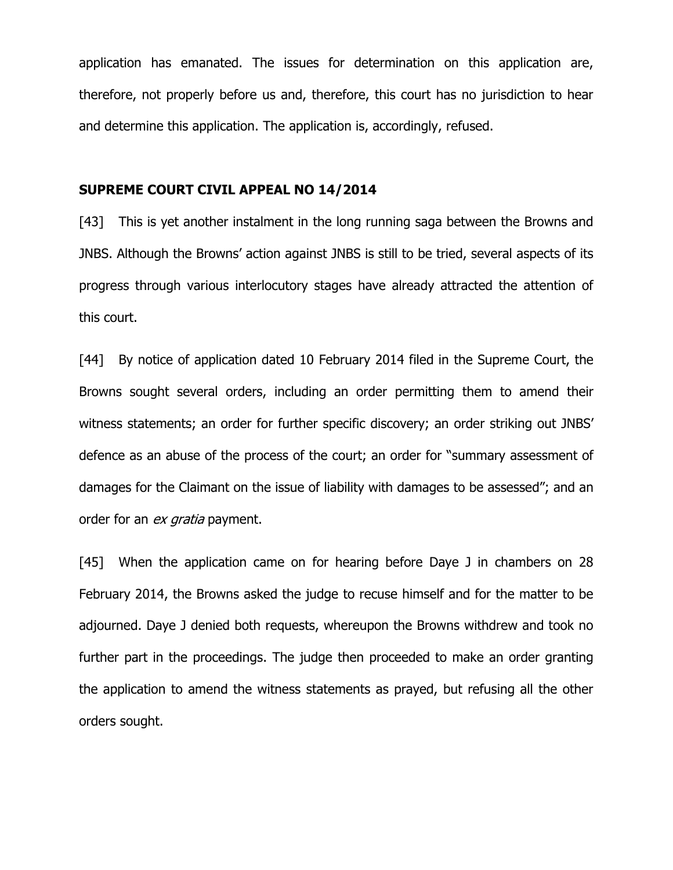application has emanated. The issues for determination on this application are, therefore, not properly before us and, therefore, this court has no jurisdiction to hear and determine this application. The application is, accordingly, refused.

#### **SUPREME COURT CIVIL APPEAL NO 14/2014**

[43] This is yet another instalment in the long running saga between the Browns and JNBS. Although the Browns' action against JNBS is still to be tried, several aspects of its progress through various interlocutory stages have already attracted the attention of this court.

[44] By notice of application dated 10 February 2014 filed in the Supreme Court, the Browns sought several orders, including an order permitting them to amend their witness statements; an order for further specific discovery; an order striking out JNBS' defence as an abuse of the process of the court; an order for "summary assessment of damages for the Claimant on the issue of liability with damages to be assessed"; and an order for an ex gratia payment.

[45] When the application came on for hearing before Daye J in chambers on 28 February 2014, the Browns asked the judge to recuse himself and for the matter to be adjourned. Daye J denied both requests, whereupon the Browns withdrew and took no further part in the proceedings. The judge then proceeded to make an order granting the application to amend the witness statements as prayed, but refusing all the other orders sought.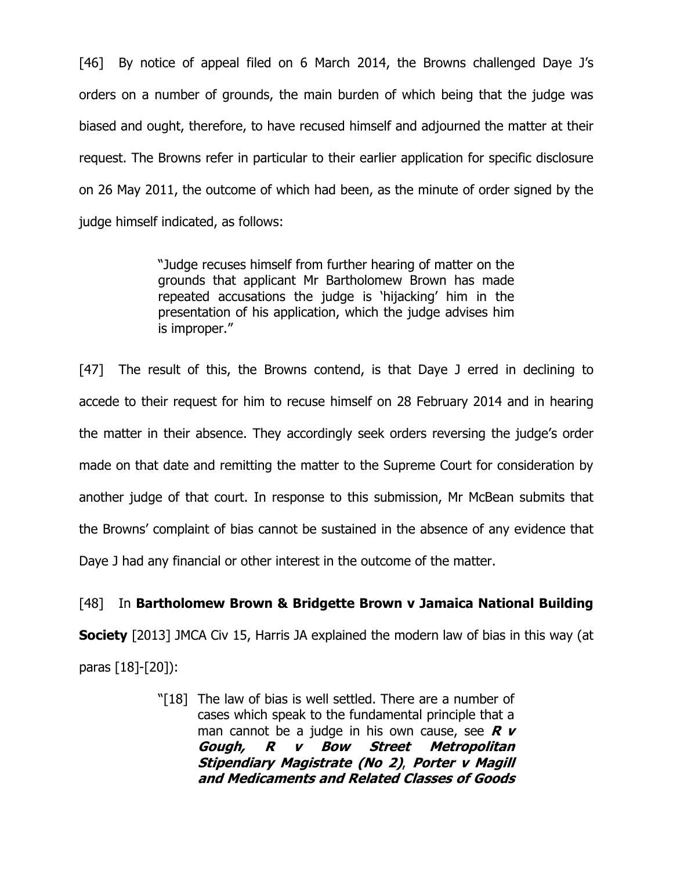[46] By notice of appeal filed on 6 March 2014, the Browns challenged Daye J's orders on a number of grounds, the main burden of which being that the judge was biased and ought, therefore, to have recused himself and adjourned the matter at their request. The Browns refer in particular to their earlier application for specific disclosure on 26 May 2011, the outcome of which had been, as the minute of order signed by the judge himself indicated, as follows:

> "Judge recuses himself from further hearing of matter on the grounds that applicant Mr Bartholomew Brown has made repeated accusations the judge is 'hijacking' him in the presentation of his application, which the judge advises him is improper."

[47] The result of this, the Browns contend, is that Daye J erred in declining to accede to their request for him to recuse himself on 28 February 2014 and in hearing the matter in their absence. They accordingly seek orders reversing the judge's order made on that date and remitting the matter to the Supreme Court for consideration by another judge of that court. In response to this submission, Mr McBean submits that the Browns' complaint of bias cannot be sustained in the absence of any evidence that Daye J had any financial or other interest in the outcome of the matter.

# [48] In **Bartholomew Brown & Bridgette Brown v Jamaica National Building**

**Society** [2013] JMCA Civ 15, Harris JA explained the modern law of bias in this way (at paras [18]-[20]):

> "[18] The law of bias is well settled. There are a number of cases which speak to the fundamental principle that a man cannot be a judge in his own cause, see **R v Gough, R v Bow Street Metropolitan Stipendiary Magistrate (No 2)**, **Porter v Magill and Medicaments and Related Classes of Goods**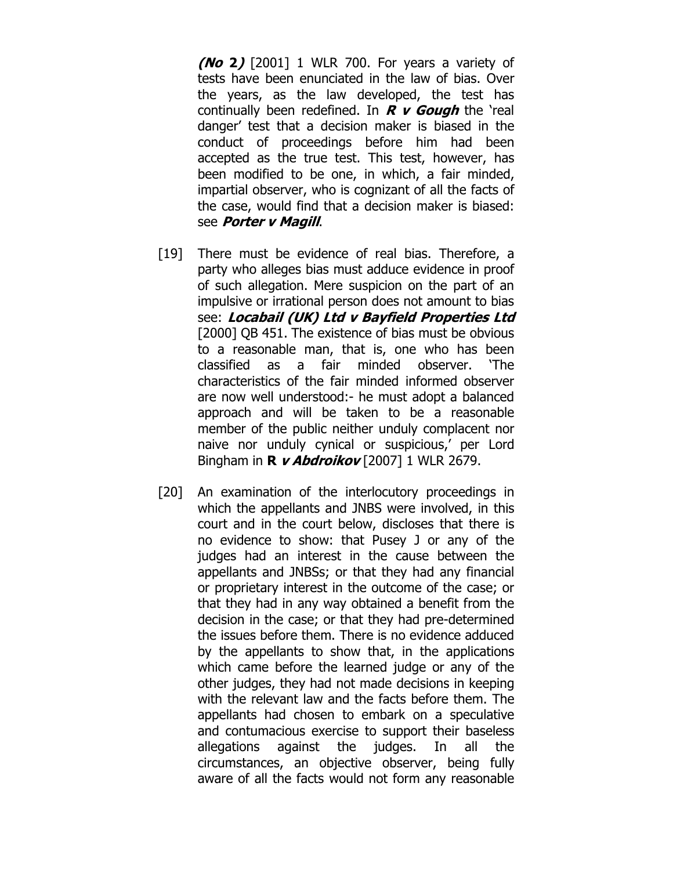**(No 2)** [2001] 1 WLR 700. For years a variety of tests have been enunciated in the law of bias. Over the years, as the law developed, the test has continually been redefined. In **R v Gough** the 'real danger' test that a decision maker is biased in the conduct of proceedings before him had been accepted as the true test. This test, however, has been modified to be one, in which, a fair minded, impartial observer, who is cognizant of all the facts of the case, would find that a decision maker is biased: see **Porter v Magill**.

- [19] There must be evidence of real bias. Therefore, a party who alleges bias must adduce evidence in proof of such allegation. Mere suspicion on the part of an impulsive or irrational person does not amount to bias see: **Locabail (UK) Ltd v Bayfield Properties Ltd**  [2000] QB 451. The existence of bias must be obvious to a reasonable man, that is, one who has been classified as a fair minded observer. 'The characteristics of the fair minded informed observer are now well understood:- he must adopt a balanced approach and will be taken to be a reasonable member of the public neither unduly complacent nor naive nor unduly cynical or suspicious,' per Lord Bingham in **R v Abdroikov** [2007] 1 WLR 2679.
- [20] An examination of the interlocutory proceedings in which the appellants and JNBS were involved, in this court and in the court below, discloses that there is no evidence to show: that Pusey J or any of the judges had an interest in the cause between the appellants and JNBSs; or that they had any financial or proprietary interest in the outcome of the case; or that they had in any way obtained a benefit from the decision in the case; or that they had pre-determined the issues before them. There is no evidence adduced by the appellants to show that, in the applications which came before the learned judge or any of the other judges, they had not made decisions in keeping with the relevant law and the facts before them. The appellants had chosen to embark on a speculative and contumacious exercise to support their baseless allegations against the judges. In all the circumstances, an objective observer, being fully aware of all the facts would not form any reasonable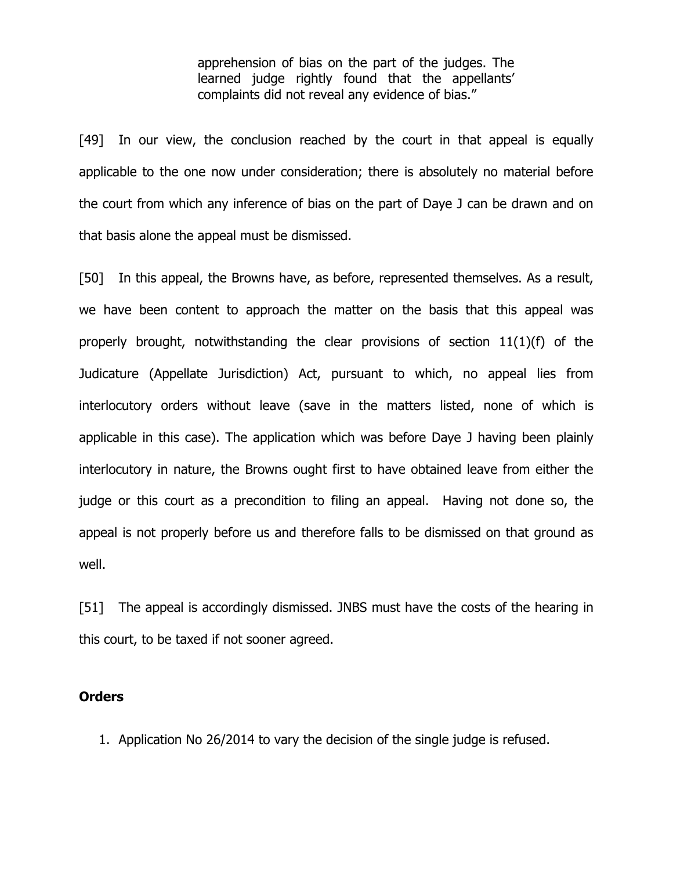apprehension of bias on the part of the judges. The learned judge rightly found that the appellants' complaints did not reveal any evidence of bias."

[49] In our view, the conclusion reached by the court in that appeal is equally applicable to the one now under consideration; there is absolutely no material before the court from which any inference of bias on the part of Daye J can be drawn and on that basis alone the appeal must be dismissed.

[50] In this appeal, the Browns have, as before, represented themselves. As a result, we have been content to approach the matter on the basis that this appeal was properly brought, notwithstanding the clear provisions of section 11(1)(f) of the Judicature (Appellate Jurisdiction) Act, pursuant to which, no appeal lies from interlocutory orders without leave (save in the matters listed, none of which is applicable in this case). The application which was before Daye J having been plainly interlocutory in nature, the Browns ought first to have obtained leave from either the judge or this court as a precondition to filing an appeal. Having not done so, the appeal is not properly before us and therefore falls to be dismissed on that ground as well.

[51] The appeal is accordingly dismissed. JNBS must have the costs of the hearing in this court, to be taxed if not sooner agreed.

### **Orders**

1. Application No 26/2014 to vary the decision of the single judge is refused.